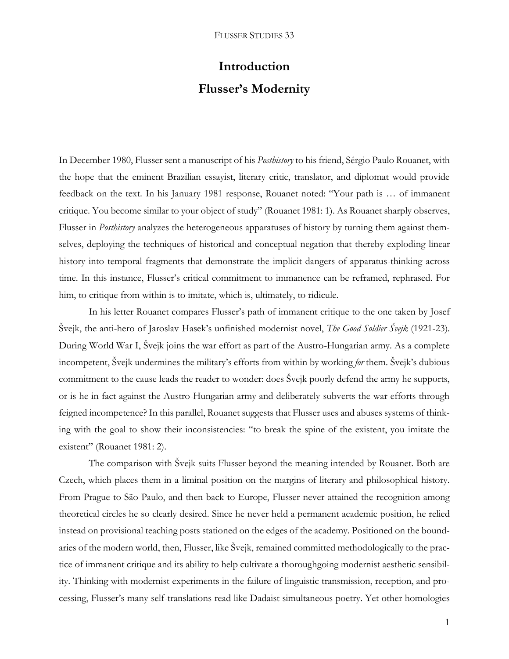# **Introduction Flusser's Modernity**

In December 1980, Flusser sent a manuscript of his *Posthistory* to his friend, Sérgio Paulo Rouanet, with the hope that the eminent Brazilian essayist, literary critic, translator, and diplomat would provide feedback on the text. In his January 1981 response, Rouanet noted: "Your path is … of immanent critique. You become similar to your object of study" (Rouanet 1981: 1). As Rouanet sharply observes, Flusser in *Posthistory* analyzes the heterogeneous apparatuses of history by turning them against themselves, deploying the techniques of historical and conceptual negation that thereby exploding linear history into temporal fragments that demonstrate the implicit dangers of apparatus-thinking across time. In this instance, Flusser's critical commitment to immanence can be reframed, rephrased. For him, to critique from within is to imitate, which is, ultimately, to ridicule.

In his letter Rouanet compares Flusser's path of immanent critique to the one taken by Josef Švejk, the anti-hero of Jaroslav Hasek's unfinished modernist novel, *The Good Soldier Švejk* (1921-23). During World War I, Švejk joins the war effort as part of the Austro-Hungarian army. As a complete incompetent, Švejk undermines the military's efforts from within by working *for* them. Švejk's dubious commitment to the cause leads the reader to wonder: does Švejk poorly defend the army he supports, or is he in fact against the Austro-Hungarian army and deliberately subverts the war efforts through feigned incompetence? In this parallel, Rouanet suggests that Flusser uses and abuses systems of thinking with the goal to show their inconsistencies: "to break the spine of the existent, you imitate the existent" (Rouanet 1981: 2).

The comparison with Švejk suits Flusser beyond the meaning intended by Rouanet. Both are Czech, which places them in a liminal position on the margins of literary and philosophical history. From Prague to São Paulo, and then back to Europe, Flusser never attained the recognition among theoretical circles he so clearly desired. Since he never held a permanent academic position, he relied instead on provisional teaching posts stationed on the edges of the academy. Positioned on the boundaries of the modern world, then, Flusser, like Švejk, remained committed methodologically to the practice of immanent critique and its ability to help cultivate a thoroughgoing modernist aesthetic sensibility. Thinking with modernist experiments in the failure of linguistic transmission, reception, and processing, Flusser's many self-translations read like Dadaist simultaneous poetry. Yet other homologies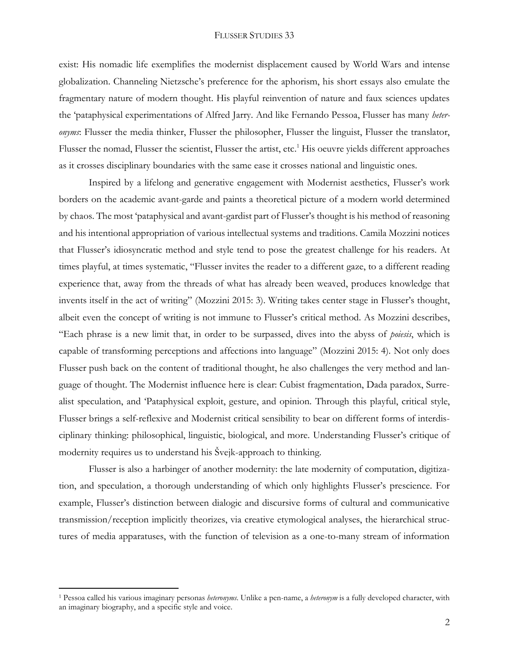exist: His nomadic life exemplifies the modernist displacement caused by World Wars and intense globalization. Channeling Nietzsche's preference for the aphorism, his short essays also emulate the fragmentary nature of modern thought. His playful reinvention of nature and faux sciences updates the 'pataphysical experimentations of Alfred Jarry. And like Fernando Pessoa, Flusser has many *heteronyms*: Flusser the media thinker, Flusser the philosopher, Flusser the linguist, Flusser the translator, Flusser the nomad, Flusser the scientist, Flusser the artist, etc.<sup>1</sup> His oeuvre yields different approaches as it crosses disciplinary boundaries with the same ease it crosses national and linguistic ones.

Inspired by a lifelong and generative engagement with Modernist aesthetics, Flusser's work borders on the academic avant-garde and paints a theoretical picture of a modern world determined by chaos. The most 'pataphysical and avant-gardist part of Flusser's thought is his method of reasoning and his intentional appropriation of various intellectual systems and traditions. Camila Mozzini notices that Flusser's idiosyncratic method and style tend to pose the greatest challenge for his readers. At times playful, at times systematic, "Flusser invites the reader to a different gaze, to a different reading experience that, away from the threads of what has already been weaved, produces knowledge that invents itself in the act of writing" (Mozzini 2015: 3). Writing takes center stage in Flusser's thought, albeit even the concept of writing is not immune to Flusser's critical method. As Mozzini describes, "Each phrase is a new limit that, in order to be surpassed, dives into the abyss of *poiesis*, which is capable of transforming perceptions and affections into language" (Mozzini 2015: 4). Not only does Flusser push back on the content of traditional thought, he also challenges the very method and language of thought. The Modernist influence here is clear: Cubist fragmentation, Dada paradox, Surrealist speculation, and 'Pataphysical exploit, gesture, and opinion. Through this playful, critical style, Flusser brings a self-reflexive and Modernist critical sensibility to bear on different forms of interdisciplinary thinking: philosophical, linguistic, biological, and more. Understanding Flusser's critique of modernity requires us to understand his Švejk-approach to thinking.

Flusser is also a harbinger of another modernity: the late modernity of computation, digitization, and speculation, a thorough understanding of which only highlights Flusser's prescience. For example, Flusser's distinction between dialogic and discursive forms of cultural and communicative transmission/reception implicitly theorizes, via creative etymological analyses, the hierarchical structures of media apparatuses, with the function of television as a one-to-many stream of information

 $\overline{a}$ 

<sup>1</sup> Pessoa called his various imaginary personas *heteronyms*. Unlike a pen-name, a *heteronym* is a fully developed character, with an imaginary biography, and a specific style and voice.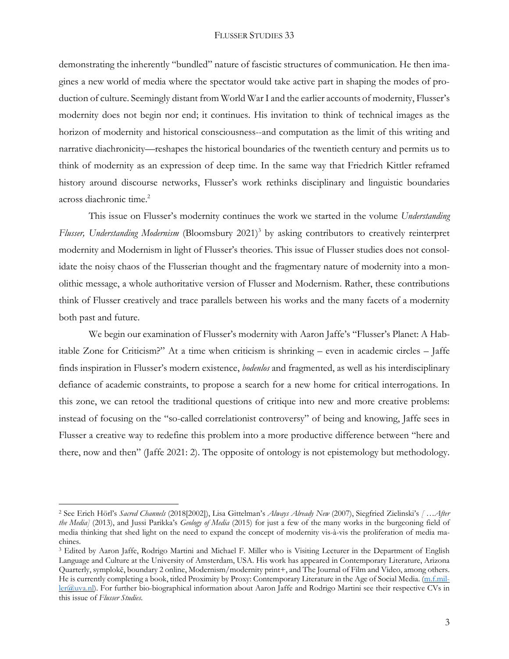demonstrating the inherently "bundled" nature of fascistic structures of communication. He then imagines a new world of media where the spectator would take active part in shaping the modes of production of culture. Seemingly distant from World War I and the earlier accounts of modernity, Flusser's modernity does not begin nor end; it continues. His invitation to think of technical images as the horizon of modernity and historical consciousness--and computation as the limit of this writing and narrative diachronicity––reshapes the historical boundaries of the twentieth century and permits us to think of modernity as an expression of deep time. In the same way that Friedrich Kittler reframed history around discourse networks, Flusser's work rethinks disciplinary and linguistic boundaries across diachronic time. 2

This issue on Flusser's modernity continues the work we started in the volume *Understanding Flusser, Understanding Modernism* (Bloomsbury 2021)<sup>3</sup> by asking contributors to creatively reinterpret modernity and Modernism in light of Flusser's theories. This issue of Flusser studies does not consolidate the noisy chaos of the Flusserian thought and the fragmentary nature of modernity into a monolithic message, a whole authoritative version of Flusser and Modernism. Rather, these contributions think of Flusser creatively and trace parallels between his works and the many facets of a modernity both past and future.

We begin our examination of Flusser's modernity with Aaron Jaffe's "Flusser's Planet: A Habitable Zone for Criticism?" At a time when criticism is shrinking – even in academic circles – Jaffe finds inspiration in Flusser's modern existence, *bodenlos* and fragmented, as well as his interdisciplinary defiance of academic constraints, to propose a search for a new home for critical interrogations. In this zone, we can retool the traditional questions of critique into new and more creative problems: instead of focusing on the "so-called correlationist controversy" of being and knowing, Jaffe sees in Flusser a creative way to redefine this problem into a more productive difference between "here and there, now and then" (Jaffe 2021: 2). The opposite of ontology is not epistemology but methodology.

 $\overline{a}$ 

<sup>2</sup> See Erich Hörl's *Sacred Channels* (2018[2002]), Lisa Gittelman's *Always Already New* (2007), Siegfried Zielinski's *[ …After the Media]* (2013), and Jussi Parikka's *Geology of Media* (2015) for just a few of the many works in the burgeoning field of media thinking that shed light on the need to expand the concept of modernity vis-à-vis the proliferation of media machines.

<sup>3</sup> Edited by Aaron Jaffe, Rodrigo Martini and Michael F. Miller who is Visiting Lecturer in the Department of English Language and Culture at the University of Amsterdam, USA. His work has appeared in Contemporary Literature, Arizona Quarterly, symplokē, boundary 2 online, Modernism/modernity print+, and The Journal of Film and Video, among others. He is currently completing a book, titled Proximity by Proxy: Contemporary Literature in the Age of Social Media. [\(m.f.mil](mailto:m.f.miller@uva.nl)[ler@uva.nl\)](mailto:m.f.miller@uva.nl). For further bio-biographical information about Aaron Jaffe and Rodrigo Martini see their respective CVs in this issue of *Flusser Studies*.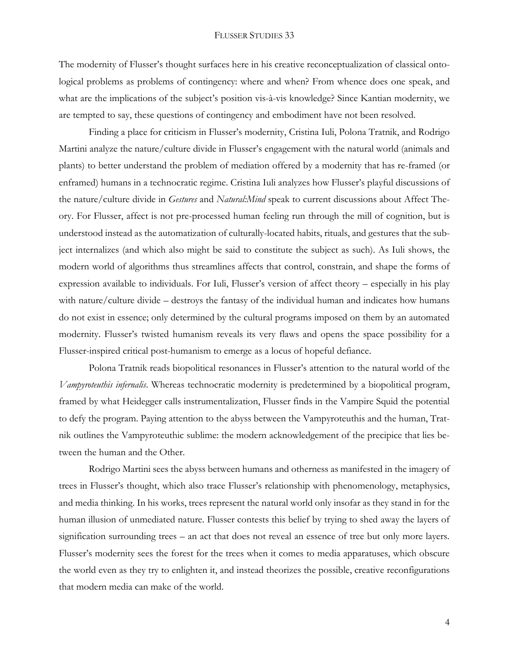The modernity of Flusser's thought surfaces here in his creative reconceptualization of classical ontological problems as problems of contingency: where and when? From whence does one speak, and what are the implications of the subject's position vis-à-vis knowledge? Since Kantian modernity, we are tempted to say, these questions of contingency and embodiment have not been resolved.

Finding a place for criticism in Flusser's modernity, Cristina Iuli, Polona Tratnik, and Rodrigo Martini analyze the nature/culture divide in Flusser's engagement with the natural world (animals and plants) to better understand the problem of mediation offered by a modernity that has re-framed (or enframed) humans in a technocratic regime. Cristina Iuli analyzes how Flusser's playful discussions of the nature/culture divide in *Gestures* and *Natural:Mind* speak to current discussions about Affect Theory. For Flusser, affect is not pre-processed human feeling run through the mill of cognition, but is understood instead as the automatization of culturally-located habits, rituals, and gestures that the subject internalizes (and which also might be said to constitute the subject as such). As Iuli shows, the modern world of algorithms thus streamlines affects that control, constrain, and shape the forms of expression available to individuals. For Iuli, Flusser's version of affect theory – especially in his play with nature/culture divide – destroys the fantasy of the individual human and indicates how humans do not exist in essence; only determined by the cultural programs imposed on them by an automated modernity. Flusser's twisted humanism reveals its very flaws and opens the space possibility for a Flusser-inspired critical post-humanism to emerge as a locus of hopeful defiance.

Polona Tratnik reads biopolitical resonances in Flusser's attention to the natural world of the *Vampyroteuthis infernalis*. Whereas technocratic modernity is predetermined by a biopolitical program, framed by what Heidegger calls instrumentalization, Flusser finds in the Vampire Squid the potential to defy the program. Paying attention to the abyss between the Vampyroteuthis and the human, Tratnik outlines the Vampyroteuthic sublime: the modern acknowledgement of the precipice that lies between the human and the Other.

Rodrigo Martini sees the abyss between humans and otherness as manifested in the imagery of trees in Flusser's thought, which also trace Flusser's relationship with phenomenology, metaphysics, and media thinking. In his works, trees represent the natural world only insofar as they stand in for the human illusion of unmediated nature. Flusser contests this belief by trying to shed away the layers of signification surrounding trees – an act that does not reveal an essence of tree but only more layers. Flusser's modernity sees the forest for the trees when it comes to media apparatuses, which obscure the world even as they try to enlighten it, and instead theorizes the possible, creative reconfigurations that modern media can make of the world.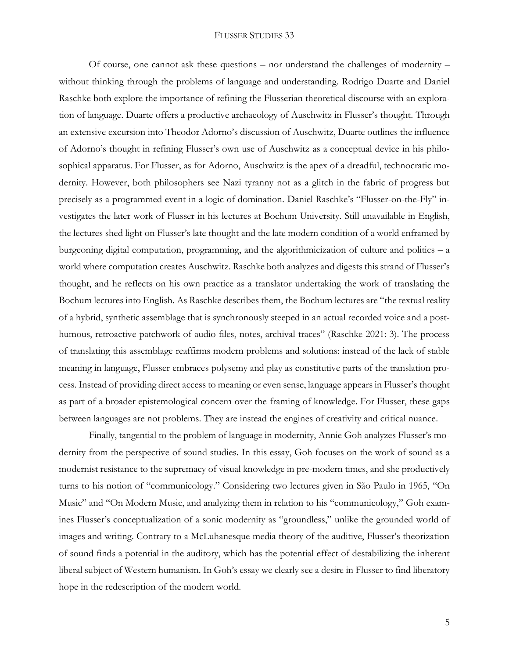Of course, one cannot ask these questions – nor understand the challenges of modernity – without thinking through the problems of language and understanding. Rodrigo Duarte and Daniel Raschke both explore the importance of refining the Flusserian theoretical discourse with an exploration of language. Duarte offers a productive archaeology of Auschwitz in Flusser's thought. Through an extensive excursion into Theodor Adorno's discussion of Auschwitz, Duarte outlines the influence of Adorno's thought in refining Flusser's own use of Auschwitz as a conceptual device in his philosophical apparatus. For Flusser, as for Adorno, Auschwitz is the apex of a dreadful, technocratic modernity. However, both philosophers see Nazi tyranny not as a glitch in the fabric of progress but precisely as a programmed event in a logic of domination. Daniel Raschke's "Flusser-on-the-Fly" investigates the later work of Flusser in his lectures at Bochum University. Still unavailable in English, the lectures shed light on Flusser's late thought and the late modern condition of a world enframed by burgeoning digital computation, programming, and the algorithmicization of culture and politics – a world where computation creates Auschwitz. Raschke both analyzes and digests this strand of Flusser's thought, and he reflects on his own practice as a translator undertaking the work of translating the Bochum lectures into English. As Raschke describes them, the Bochum lectures are "the textual reality of a hybrid, synthetic assemblage that is synchronously steeped in an actual recorded voice and a posthumous, retroactive patchwork of audio files, notes, archival traces" (Raschke 2021: 3). The process of translating this assemblage reaffirms modern problems and solutions: instead of the lack of stable meaning in language, Flusser embraces polysemy and play as constitutive parts of the translation process. Instead of providing direct access to meaning or even sense, language appears in Flusser's thought as part of a broader epistemological concern over the framing of knowledge. For Flusser, these gaps between languages are not problems. They are instead the engines of creativity and critical nuance.

Finally, tangential to the problem of language in modernity, Annie Goh analyzes Flusser's modernity from the perspective of sound studies. In this essay, Goh focuses on the work of sound as a modernist resistance to the supremacy of visual knowledge in pre-modern times, and she productively turns to his notion of "communicology." Considering two lectures given in São Paulo in 1965, "On Music" and "On Modern Music, and analyzing them in relation to his "communicology," Goh examines Flusser's conceptualization of a sonic modernity as "groundless," unlike the grounded world of images and writing. Contrary to a McLuhanesque media theory of the auditive, Flusser's theorization of sound finds a potential in the auditory, which has the potential effect of destabilizing the inherent liberal subject of Western humanism. In Goh's essay we clearly see a desire in Flusser to find liberatory hope in the redescription of the modern world.